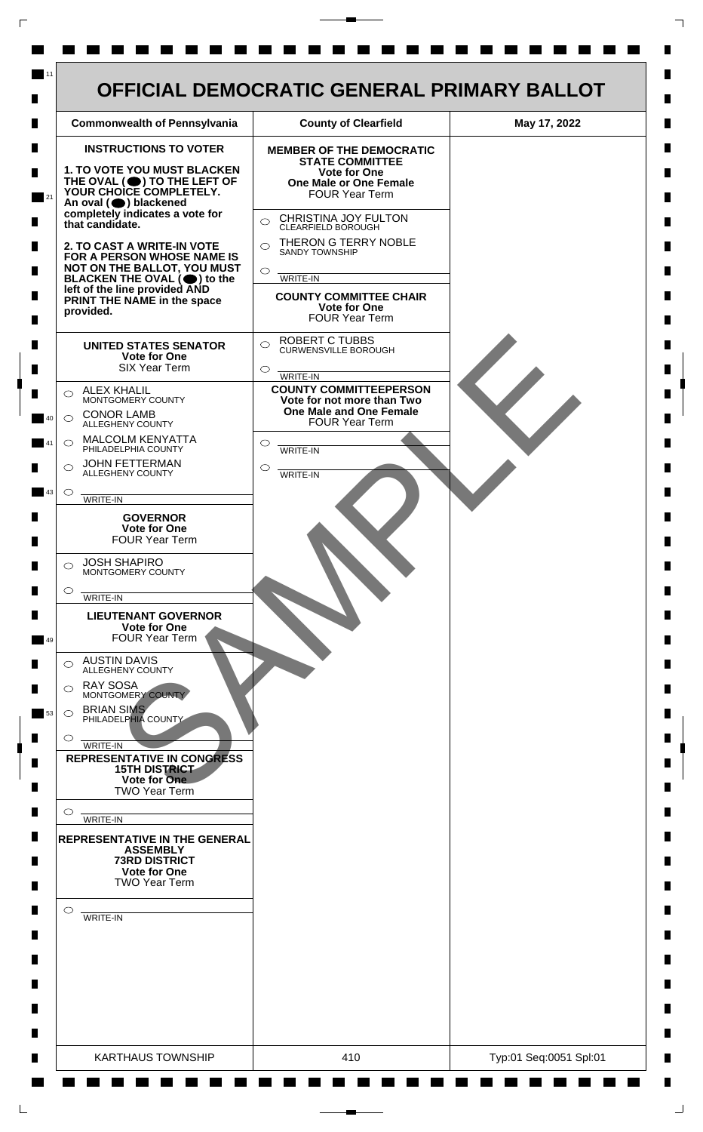

 $\mathsf{L}$ 

 $\Box$